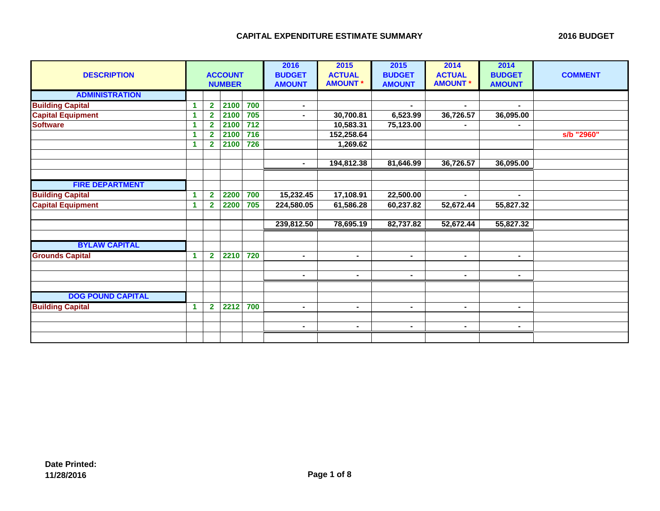| <b>DESCRIPTION</b>       |    | <b>ACCOUNT</b><br><b>NUMBER</b> |      |                  | 2016<br><b>BUDGET</b><br><b>AMOUNT</b> | 2015<br><b>ACTUAL</b><br><b>AMOUNT*</b> | 2015<br><b>BUDGET</b><br><b>AMOUNT</b> | 2014<br><b>ACTUAL</b><br><b>AMOUNT *</b> | 2014<br><b>BUDGET</b><br><b>AMOUNT</b> | <b>COMMENT</b> |
|--------------------------|----|---------------------------------|------|------------------|----------------------------------------|-----------------------------------------|----------------------------------------|------------------------------------------|----------------------------------------|----------------|
| <b>ADMINISTRATION</b>    |    |                                 |      |                  |                                        |                                         |                                        |                                          |                                        |                |
| <b>Building Capital</b>  | 1  | $\overline{2}$                  | 2100 | 700              | $\sim$                                 |                                         | $\blacksquare$                         | $\blacksquare$                           | ۰.                                     |                |
| <b>Capital Equipment</b> | -1 | $\overline{2}$                  | 2100 | 705              | $\blacksquare$                         | 30,700.81                               | 6,523.99                               | 36,726.57                                | 36,095.00                              |                |
| <b>Software</b>          | -1 | $\mathbf 2$                     | 2100 | 712              |                                        | 10,583.31                               | 75,123.00                              |                                          |                                        |                |
|                          | -1 | $\overline{2}$                  | 2100 | $\overline{716}$ |                                        | 152,258.64                              |                                        |                                          |                                        | s/b "2960"     |
|                          | -1 | $\overline{2}$                  | 2100 | 726              |                                        | 1,269.62                                |                                        |                                          |                                        |                |
|                          |    |                                 |      |                  |                                        |                                         |                                        |                                          |                                        |                |
|                          |    |                                 |      |                  | $\blacksquare$                         | 194,812.38                              | 81,646.99                              | 36,726.57                                | 36,095.00                              |                |
|                          |    |                                 |      |                  |                                        |                                         |                                        |                                          |                                        |                |
| <b>FIRE DEPARTMENT</b>   |    |                                 |      |                  |                                        |                                         |                                        |                                          |                                        |                |
| <b>Building Capital</b>  | 1  | $\overline{\mathbf{2}}$         | 2200 | 700              | 15,232.45                              | 17,108.91                               | 22,500.00                              |                                          |                                        |                |
| <b>Capital Equipment</b> | -1 | $\mathbf{2}$                    | 2200 | 705              | 224,580.05                             | 61,586.28                               | 60,237.82                              | 52,672.44                                | 55,827.32                              |                |
|                          |    |                                 |      |                  |                                        |                                         |                                        |                                          |                                        |                |
|                          |    |                                 |      |                  | 239,812.50                             | 78,695.19                               | 82,737.82                              | 52,672.44                                | 55,827.32                              |                |
|                          |    |                                 |      |                  |                                        |                                         |                                        |                                          |                                        |                |
| <b>BYLAW CAPITAL</b>     |    |                                 |      |                  |                                        |                                         |                                        |                                          |                                        |                |
| <b>Grounds Capital</b>   | 1  | $\overline{2}$                  | 2210 | 720              | $\blacksquare$                         | $\sim$                                  | $\blacksquare$                         | $\blacksquare$                           | $\blacksquare$                         |                |
|                          |    |                                 |      |                  |                                        |                                         |                                        |                                          |                                        |                |
|                          |    |                                 |      |                  | $\blacksquare$                         | $\sim$                                  | $\blacksquare$                         | $\blacksquare$                           | $\blacksquare$                         |                |
|                          |    |                                 |      |                  |                                        |                                         |                                        |                                          |                                        |                |
| <b>DOG POUND CAPITAL</b> |    |                                 |      |                  |                                        |                                         |                                        |                                          |                                        |                |
| <b>Building Capital</b>  | 1  | $\overline{\mathbf{2}}$         | 2212 | 700              | $\sim$                                 | $\blacksquare$                          | $\blacksquare$                         | $\blacksquare$                           | ۰.                                     |                |
|                          |    |                                 |      |                  |                                        |                                         |                                        |                                          |                                        |                |
|                          |    |                                 |      |                  | $\blacksquare$                         | $\blacksquare$                          | $\blacksquare$                         | $\blacksquare$                           | $\blacksquare$                         |                |
|                          |    |                                 |      |                  |                                        |                                         |                                        |                                          |                                        |                |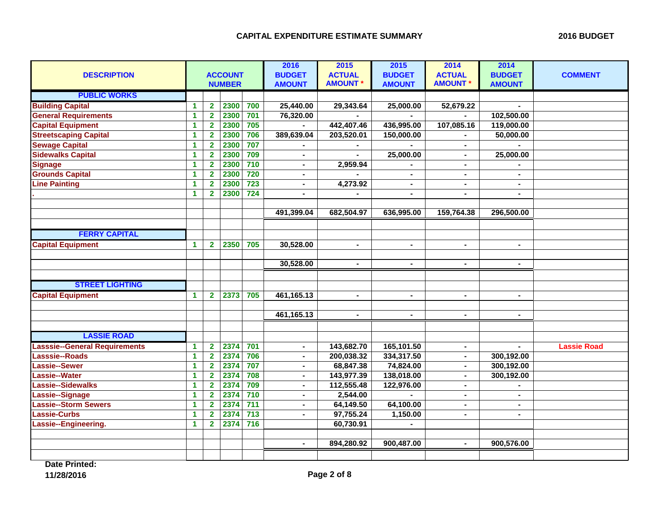| <b>DESCRIPTION</b>                   |                      | <b>ACCOUNT</b><br><b>NUMBER</b> |      |                  | 2016<br><b>BUDGET</b><br><b>AMOUNT</b> | 2015<br><b>ACTUAL</b><br><b>AMOUNT *</b> | 2015<br><b>BUDGET</b><br><b>AMOUNT</b> | 2014<br><b>ACTUAL</b><br><b>AMOUNT*</b> | 2014<br><b>BUDGET</b><br><b>AMOUNT</b> | <b>COMMENT</b>     |
|--------------------------------------|----------------------|---------------------------------|------|------------------|----------------------------------------|------------------------------------------|----------------------------------------|-----------------------------------------|----------------------------------------|--------------------|
| <b>PUBLIC WORKS</b>                  |                      |                                 |      |                  |                                        |                                          |                                        |                                         |                                        |                    |
| <b>Building Capital</b>              | $\blacktriangleleft$ | $\overline{\mathbf{2}}$         | 2300 | 700              | 25,440.00                              | 29,343.64                                | 25,000.00                              | 52,679.22                               | $\overline{a}$                         |                    |
| <b>General Requirements</b>          | 1                    | $\overline{\mathbf{2}}$         | 2300 | 701              | 76,320.00                              |                                          |                                        |                                         | 102,500.00                             |                    |
| <b>Capital Equipment</b>             | 1                    | $\mathbf{2}$                    | 2300 | 705              |                                        | 442,407.46                               | 436,995.00                             | 107,085.16                              | 119,000.00                             |                    |
| <b>Streetscaping Capital</b>         | 1                    | $\mathbf{2}$                    | 2300 | 706              | 389,639.04                             | 203,520.01                               | 150,000.00                             |                                         | 50,000.00                              |                    |
| <b>Sewage Capital</b>                | $\blacktriangleleft$ | $\overline{\mathbf{2}}$         | 2300 | 707              | $\blacksquare$                         |                                          |                                        | $\blacksquare$                          |                                        |                    |
| <b>Sidewalks Capital</b>             | 1                    | $\overline{\mathbf{2}}$         | 2300 | 709              | ۰                                      |                                          | 25,000.00                              |                                         | 25,000.00                              |                    |
| <b>Signage</b>                       | $\blacktriangleleft$ | $\overline{\mathbf{2}}$         | 2300 | 710              | $\blacksquare$                         | 2,959.94                                 |                                        | $\blacksquare$                          |                                        |                    |
| <b>Grounds Capital</b>               | $\mathbf{1}$         | $\overline{\mathbf{2}}$         | 2300 | 720              | $\blacksquare$                         |                                          | $\blacksquare$                         | $\blacksquare$                          | $\blacksquare$                         |                    |
| <b>Line Painting</b>                 | $\mathbf{1}$         | $\mathbf{2}$                    | 2300 | $\overline{723}$ | Ξ.                                     | 4,273.92                                 |                                        |                                         |                                        |                    |
|                                      | $\mathbf{1}$         | $\mathbf{2}$                    | 2300 | $\overline{724}$ | $\blacksquare$                         |                                          | $\blacksquare$                         | $\blacksquare$                          | $\blacksquare$                         |                    |
|                                      |                      |                                 |      |                  |                                        |                                          |                                        |                                         |                                        |                    |
|                                      |                      |                                 |      |                  | 491,399.04                             | 682,504.97                               | 636,995.00                             | 159,764.38                              | 296,500.00                             |                    |
|                                      |                      |                                 |      |                  |                                        |                                          |                                        |                                         |                                        |                    |
| <b>FERRY CAPITAL</b>                 |                      |                                 |      |                  |                                        |                                          |                                        |                                         |                                        |                    |
| <b>Capital Equipment</b>             | $\blacktriangleleft$ | $\mathbf{2}$                    | 2350 | 705              | 30,528.00                              | $\overline{\phantom{0}}$                 | $\blacksquare$                         | $\blacksquare$                          | $\blacksquare$                         |                    |
|                                      |                      |                                 |      |                  |                                        |                                          |                                        |                                         |                                        |                    |
|                                      |                      |                                 |      |                  | 30,528.00                              | $\blacksquare$                           | $\blacksquare$                         | $\blacksquare$                          | $\blacksquare$                         |                    |
|                                      |                      |                                 |      |                  |                                        |                                          |                                        |                                         |                                        |                    |
| <b>STREET LIGHTING</b>               |                      |                                 |      |                  |                                        |                                          |                                        |                                         |                                        |                    |
| <b>Capital Equipment</b>             | $\mathbf{1}$         | $\overline{2}$                  | 2373 | 705              | 461,165.13                             | $\blacksquare$                           | $\blacksquare$                         | $\blacksquare$                          | $\blacksquare$                         |                    |
|                                      |                      |                                 |      |                  |                                        |                                          |                                        |                                         |                                        |                    |
|                                      |                      |                                 |      |                  | 461, 165. 13                           | $\blacksquare$                           |                                        | $\blacksquare$                          |                                        |                    |
|                                      |                      |                                 |      |                  |                                        |                                          |                                        |                                         |                                        |                    |
| <b>LASSIE ROAD</b>                   |                      |                                 |      |                  |                                        |                                          |                                        |                                         |                                        |                    |
| <b>Lasssie--General Requirements</b> | 1                    | $\overline{\mathbf{2}}$         | 2374 | 701              | $\blacksquare$                         | 143,682.70                               | 165,101.50                             |                                         |                                        | <b>Lassie Road</b> |
| Lasssie--Roads                       | $\blacktriangleleft$ | $\overline{\mathbf{2}}$         | 2374 | 706              | $\blacksquare$                         | 200,038.32                               | 334,317.50                             | $\blacksquare$                          | 300,192.00                             |                    |
| Lassie--Sewer                        | $\mathbf{1}$         | $\overline{\mathbf{2}}$         | 2374 | 707              | $\blacksquare$                         | 68,847.38                                | 74,824.00                              | $\blacksquare$                          | 300,192.00                             |                    |
| Lassie--Water                        | $\mathbf 1$          | $\overline{\mathbf{2}}$         | 2374 | 708              | $\blacksquare$                         | 143,977.39                               | 138,018.00                             | $\blacksquare$                          | 300,192.00                             |                    |
| Lassie--Sidewalks                    | 1                    | $\overline{\mathbf{2}}$         | 2374 | 709              | $\blacksquare$                         | 112,555.48                               | 122,976.00                             | $\blacksquare$                          |                                        |                    |
| Lassie--Signage                      | 1                    | $\mathbf{2}$                    | 2374 | $\overline{710}$ | Ξ.                                     | 2,544.00                                 |                                        | $\blacksquare$                          |                                        |                    |
| <b>Lassie--Storm Sewers</b>          | $\blacktriangleleft$ | $\overline{\mathbf{2}}$         | 2374 | $\overline{711}$ | $\blacksquare$                         | 64,149.50                                | 64,100.00                              | $\blacksquare$                          | $\blacksquare$                         |                    |
| Lassie-Curbs                         | 1                    | $\overline{\mathbf{2}}$         | 2374 | $\overline{713}$ | $\blacksquare$                         | 97,755.24                                | 1,150.00                               | $\blacksquare$                          | $\blacksquare$                         |                    |
| Lassie--Engineering.                 | $\mathbf 1$          | $\overline{2}$                  | 2374 | 716              |                                        | 60,730.91                                |                                        |                                         |                                        |                    |
|                                      |                      |                                 |      |                  |                                        |                                          |                                        |                                         |                                        |                    |
|                                      |                      |                                 |      |                  | $\blacksquare$                         | 894,280.92                               | 900,487.00                             | $\blacksquare$                          | 900,576.00                             |                    |
|                                      |                      |                                 |      |                  |                                        |                                          |                                        |                                         |                                        |                    |

**Date Printed: 11/28/2016 Page 2 of 8**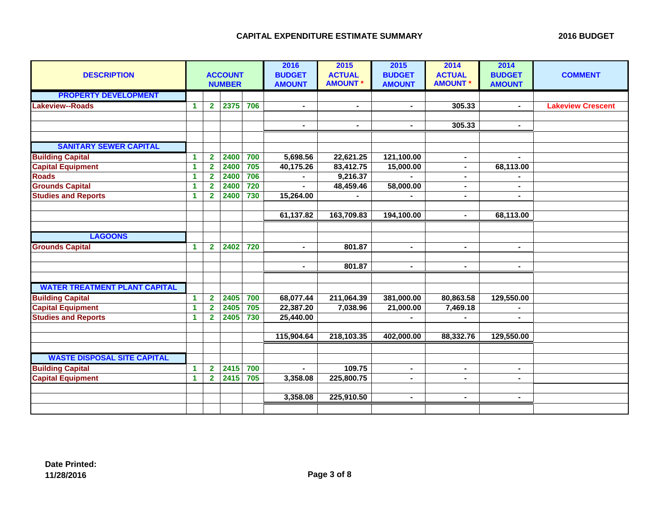| <b>DESCRIPTION</b>                   | <b>ACCOUNT</b><br><b>NUMBER</b> |                         |      |     | 2016<br><b>BUDGET</b><br><b>AMOUNT</b> | 2015<br><b>ACTUAL</b><br><b>AMOUNT *</b> | 2015<br><b>BUDGET</b><br><b>AMOUNT</b> | 2014<br><b>ACTUAL</b><br><b>AMOUNT</b> | 2014<br><b>BUDGET</b><br><b>AMOUNT</b> | <b>COMMENT</b>           |
|--------------------------------------|---------------------------------|-------------------------|------|-----|----------------------------------------|------------------------------------------|----------------------------------------|----------------------------------------|----------------------------------------|--------------------------|
| <b>PROPERTY DEVELOPMENT</b>          |                                 |                         |      |     |                                        |                                          |                                        |                                        |                                        |                          |
| <b>Lakeview--Roads</b>               | $\blacktriangleleft$            | $\mathbf{2}$            | 2375 | 706 | $\blacksquare$                         | $\blacksquare$                           |                                        | 305.33                                 | $\blacksquare$                         | <b>Lakeview Crescent</b> |
|                                      |                                 |                         |      |     |                                        |                                          |                                        |                                        |                                        |                          |
|                                      |                                 |                         |      |     | $\blacksquare$                         | $\blacksquare$                           | $\blacksquare$                         | 305.33                                 | Ξ.                                     |                          |
|                                      |                                 |                         |      |     |                                        |                                          |                                        |                                        |                                        |                          |
| <b>SANITARY SEWER CAPITAL</b>        |                                 |                         |      |     |                                        |                                          |                                        |                                        |                                        |                          |
| <b>Building Capital</b>              | 1                               | $\overline{\mathbf{2}}$ | 2400 | 700 | 5,698.56                               | 22,621.25                                | 121,100.00                             | $\blacksquare$                         | $\blacksquare$                         |                          |
| <b>Capital Equipment</b>             | $\blacktriangleleft$            | $\overline{\mathbf{2}}$ | 2400 | 705 | 40,175.26                              | 83,412.75                                | 15,000.00                              | $\blacksquare$                         | 68,113.00                              |                          |
| <b>Roads</b>                         | $\blacktriangleleft$            | $\overline{\mathbf{2}}$ | 2400 | 706 |                                        | 9,216.37                                 |                                        | $\blacksquare$                         |                                        |                          |
| <b>Grounds Capital</b>               | $\blacktriangleleft$            | $\mathbf{2}$            | 2400 | 720 | $\blacksquare$                         | 48,459.46                                | 58,000.00                              | $\blacksquare$                         | ٠.                                     |                          |
| <b>Studies and Reports</b>           | $\blacktriangleleft$            | $\mathbf{2}$            | 2400 | 730 | 15,264.00                              |                                          |                                        | $\blacksquare$                         | $\blacksquare$                         |                          |
|                                      |                                 |                         |      |     |                                        |                                          |                                        |                                        |                                        |                          |
|                                      |                                 |                         |      |     | 61,137.82                              | 163,709.83                               | 194,100.00                             | $\blacksquare$                         | 68,113.00                              |                          |
|                                      |                                 |                         |      |     |                                        |                                          |                                        |                                        |                                        |                          |
| <b>LAGOONS</b>                       |                                 |                         |      |     |                                        |                                          |                                        |                                        |                                        |                          |
| <b>Grounds Capital</b>               | $\blacktriangleleft$            | $\overline{2}$          | 2402 | 720 | $\blacksquare$                         | 801.87                                   | $\blacksquare$                         | $\blacksquare$                         | $\blacksquare$                         |                          |
|                                      |                                 |                         |      |     |                                        |                                          |                                        |                                        |                                        |                          |
|                                      |                                 |                         |      |     | $\blacksquare$                         | 801.87                                   | $\blacksquare$                         | $\blacksquare$                         | $\blacksquare$                         |                          |
|                                      |                                 |                         |      |     |                                        |                                          |                                        |                                        |                                        |                          |
| <b>WATER TREATMENT PLANT CAPITAL</b> |                                 |                         |      |     |                                        |                                          |                                        |                                        |                                        |                          |
| <b>Building Capital</b>              | $\blacktriangleleft$            | $\overline{\mathbf{2}}$ | 2405 | 700 | 68,077.44                              | 211,064.39                               | 381,000.00                             | 80,863.58                              | 129,550.00                             |                          |
| <b>Capital Equipment</b>             | $\blacktriangleleft$            | $\mathbf{2}$            | 2405 | 705 | 22,387.20                              | 7,038.96                                 | 21,000.00                              | 7,469.18                               |                                        |                          |
| <b>Studies and Reports</b>           | $\blacktriangleleft$            | $\overline{\mathbf{2}}$ | 2405 | 730 | 25,440.00                              |                                          |                                        |                                        | Ξ.                                     |                          |
|                                      |                                 |                         |      |     |                                        |                                          |                                        |                                        |                                        |                          |
|                                      |                                 |                         |      |     | 115,904.64                             | 218,103.35                               | 402,000.00                             | 88,332.76                              | 129,550.00                             |                          |
|                                      |                                 |                         |      |     |                                        |                                          |                                        |                                        |                                        |                          |
| <b>WASTE DISPOSAL SITE CAPITAL</b>   |                                 |                         |      |     |                                        |                                          |                                        |                                        |                                        |                          |
| <b>Building Capital</b>              | $\blacktriangleleft$            | $\overline{\mathbf{2}}$ | 2415 | 700 |                                        | 109.75                                   | $\blacksquare$                         | $\blacksquare$                         | ٠.                                     |                          |
| <b>Capital Equipment</b>             | $\blacktriangleleft$            | $\mathbf{2}$            | 2415 | 705 | 3,358.08                               | 225,800.75                               |                                        |                                        | $\blacksquare$                         |                          |
|                                      |                                 |                         |      |     |                                        |                                          |                                        |                                        |                                        |                          |
|                                      |                                 |                         |      |     | 3,358.08                               | 225,910.50                               | $\blacksquare$                         | $\blacksquare$                         | ۰.                                     |                          |
|                                      |                                 |                         |      |     |                                        |                                          |                                        |                                        |                                        |                          |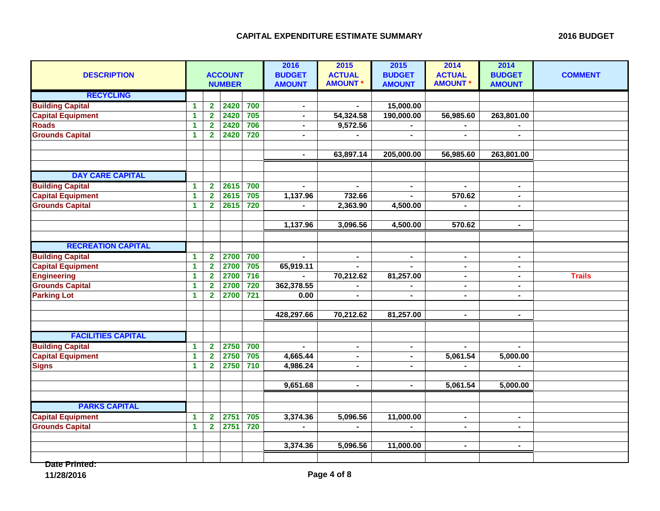| <b>DESCRIPTION</b>        |                      |                         | <b>ACCOUNT</b><br><b>NUMBER</b> |                  | 2016<br><b>BUDGET</b><br><b>AMOUNT</b> | 2015<br><b>ACTUAL</b><br><b>AMOUNT*</b> | 2015<br><b>BUDGET</b><br><b>AMOUNT</b> | 2014<br><b>ACTUAL</b><br><b>AMOUNT *</b> | 2014<br><b>BUDGET</b><br><b>AMOUNT</b> | <b>COMMENT</b> |
|---------------------------|----------------------|-------------------------|---------------------------------|------------------|----------------------------------------|-----------------------------------------|----------------------------------------|------------------------------------------|----------------------------------------|----------------|
| <b>RECYCLING</b>          |                      |                         |                                 |                  |                                        |                                         |                                        |                                          |                                        |                |
| <b>Building Capital</b>   | $\blacktriangleleft$ | $\overline{\mathbf{2}}$ | 2420                            | 700              | $\blacksquare$                         |                                         | 15,000.00                              |                                          |                                        |                |
| <b>Capital Equipment</b>  | $\mathbf{1}$         | $\overline{\mathbf{2}}$ | 2420                            | 705              | $\blacksquare$                         | 54,324.58                               | 190,000.00                             | 56,985.60                                | 263,801.00                             |                |
| <b>Roads</b>              | 1                    | $\mathbf{2}$            | 2420                            | 706              | $\blacksquare$                         | 9,572.56                                |                                        |                                          |                                        |                |
| <b>Grounds Capital</b>    | 1                    | $\overline{\mathbf{2}}$ | 2420                            | 720              | $\blacksquare$                         | $\blacksquare$                          | $\blacksquare$                         | $\blacksquare$                           | $\blacksquare$                         |                |
|                           |                      |                         |                                 |                  |                                        |                                         |                                        |                                          |                                        |                |
|                           |                      |                         |                                 |                  | $\blacksquare$                         | 63,897.14                               | 205,000.00                             | 56,985.60                                | 263,801.00                             |                |
|                           |                      |                         |                                 |                  |                                        |                                         |                                        |                                          |                                        |                |
| <b>DAY CARE CAPITAL</b>   |                      |                         |                                 |                  |                                        |                                         |                                        |                                          |                                        |                |
| <b>Building Capital</b>   | $\blacktriangleleft$ | $\overline{\mathbf{2}}$ | 2615                            | 700              | $\blacksquare$                         | $\sim$                                  | $\blacksquare$                         | $\blacksquare$                           | $\blacksquare$                         |                |
| <b>Capital Equipment</b>  | 1                    | $\overline{2}$          | 2615                            | 705              | 1,137.96                               | 732.66                                  |                                        | 570.62                                   | $\blacksquare$                         |                |
| <b>Grounds Capital</b>    | $\blacktriangleleft$ | $\overline{\mathbf{2}}$ | 2615                            | 720              |                                        | 2,363.90                                | 4,500.00                               |                                          | $\blacksquare$                         |                |
|                           |                      |                         |                                 |                  |                                        |                                         |                                        |                                          |                                        |                |
|                           |                      |                         |                                 |                  | 1,137.96                               | 3,096.56                                | 4,500.00                               | 570.62                                   | $\blacksquare$                         |                |
|                           |                      |                         |                                 |                  |                                        |                                         |                                        |                                          |                                        |                |
| <b>RECREATION CAPITAL</b> |                      |                         |                                 |                  |                                        |                                         |                                        |                                          |                                        |                |
| <b>Building Capital</b>   | 1                    | $\overline{2}$          | 2700                            | 700              | $\mathbf{r}$                           | $\blacksquare$                          | $\overline{\phantom{a}}$               | $\blacksquare$                           | $\blacksquare$                         |                |
| <b>Capital Equipment</b>  | $\blacktriangleleft$ | $\overline{2}$          | 2700                            | 705              | 65,919.11                              | $\blacksquare$                          |                                        | $\blacksquare$                           | $\blacksquare$                         |                |
| <b>Engineering</b>        | 1                    | $\mathbf{2}$            | 2700                            | 716              |                                        | 70,212.62                               | 81,257.00                              | $\blacksquare$                           | $\blacksquare$                         | <b>Trails</b>  |
| <b>Grounds Capital</b>    | $\blacktriangleleft$ | $\overline{\mathbf{2}}$ | 2700                            | 720              | 362,378.55                             |                                         |                                        | $\blacksquare$                           | $\blacksquare$                         |                |
| <b>Parking Lot</b>        | 1                    | $\overline{2}$          | 2700                            | $\overline{721}$ | 0.00                                   | $\blacksquare$                          |                                        | $\blacksquare$                           | $\blacksquare$                         |                |
|                           |                      |                         |                                 |                  |                                        |                                         |                                        |                                          |                                        |                |
|                           |                      |                         |                                 |                  | 428,297.66                             | 70,212.62                               | 81,257.00                              | $\sim$                                   | $\blacksquare$                         |                |
|                           |                      |                         |                                 |                  |                                        |                                         |                                        |                                          |                                        |                |
| <b>FACILITIES CAPITAL</b> |                      |                         |                                 |                  |                                        |                                         |                                        |                                          |                                        |                |
| <b>Building Capital</b>   | 1                    | $\overline{\mathbf{2}}$ | 2750                            | 700              | $\blacksquare$                         | $\blacksquare$                          | $\blacksquare$                         | $\blacksquare$                           | $\blacksquare$                         |                |
| <b>Capital Equipment</b>  | 1                    | $\overline{2}$          | 2750                            | 705              | 4,665.44                               | $\blacksquare$                          |                                        | 5,061.54                                 | 5,000.00                               |                |
| <b>Signs</b>              | $\blacktriangleleft$ | $\mathbf{2}$            | 2750                            | 710              | 4,986.24                               | $\blacksquare$                          |                                        |                                          |                                        |                |
|                           |                      |                         |                                 |                  |                                        |                                         |                                        |                                          |                                        |                |
|                           |                      |                         |                                 |                  | 9,651.68                               | $\sim$                                  | $\blacksquare$                         | 5,061.54                                 | 5,000.00                               |                |
|                           |                      |                         |                                 |                  |                                        |                                         |                                        |                                          |                                        |                |
| <b>PARKS CAPITAL</b>      |                      |                         |                                 |                  |                                        |                                         |                                        |                                          |                                        |                |
| <b>Capital Equipment</b>  | $\blacktriangleleft$ | $\overline{2}$          | 2751                            | 705              | 3,374.36                               | 5,096.56                                | 11,000.00                              | $\blacksquare$                           | $\bullet$                              |                |
| <b>Grounds Capital</b>    | $\blacktriangleleft$ | $\overline{\mathbf{2}}$ | 2751                            | 720              |                                        |                                         |                                        | $\blacksquare$                           | $\blacksquare$                         |                |
|                           |                      |                         |                                 |                  |                                        |                                         |                                        |                                          |                                        |                |
|                           |                      |                         |                                 |                  | 3,374.36                               | 5,096.56                                | 11,000.00                              | $\blacksquare$                           |                                        |                |
|                           |                      |                         |                                 |                  |                                        |                                         |                                        |                                          |                                        |                |

**Date Printed:**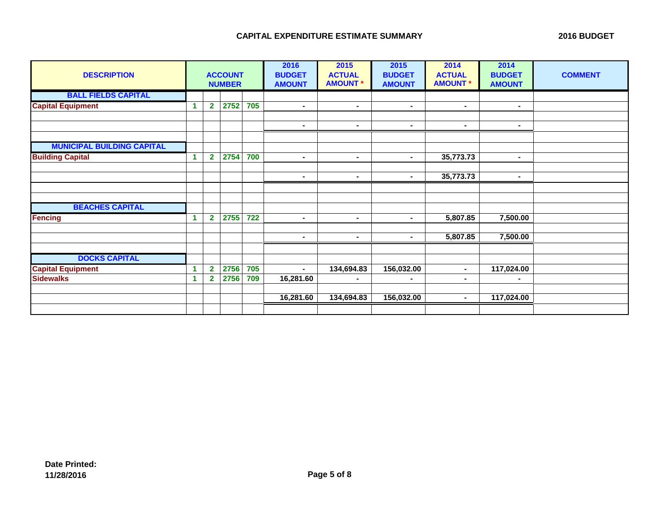| <b>DESCRIPTION</b>                |    |                | <b>ACCOUNT</b><br><b>NUMBER</b> |                  | 2016<br><b>BUDGET</b><br><b>AMOUNT</b> | 2015<br><b>ACTUAL</b><br><b>AMOUNT*</b> | 2015<br><b>BUDGET</b><br><b>AMOUNT</b> | 2014<br><b>ACTUAL</b><br><b>AMOUNT *</b> | 2014<br><b>BUDGET</b><br><b>AMOUNT</b> | <b>COMMENT</b> |
|-----------------------------------|----|----------------|---------------------------------|------------------|----------------------------------------|-----------------------------------------|----------------------------------------|------------------------------------------|----------------------------------------|----------------|
| <b>BALL FIELDS CAPITAL</b>        |    |                |                                 |                  |                                        |                                         |                                        |                                          |                                        |                |
| <b>Capital Equipment</b>          | -1 | $\overline{2}$ | 2752                            | 705              | $\blacksquare$                         | $\blacksquare$                          | $\blacksquare$                         | $\blacksquare$                           | $\blacksquare$                         |                |
|                                   |    |                |                                 |                  |                                        |                                         |                                        |                                          |                                        |                |
|                                   |    |                |                                 |                  | $\blacksquare$                         | $\blacksquare$                          | $\blacksquare$                         | $\blacksquare$                           | $\blacksquare$                         |                |
| <b>MUNICIPAL BUILDING CAPITAL</b> |    |                |                                 |                  |                                        |                                         |                                        |                                          |                                        |                |
| <b>Building Capital</b>           | -1 | $\overline{2}$ | 2754                            | 700              | $\blacksquare$                         | $\sim$                                  | $\blacksquare$                         | 35,773.73                                | $\blacksquare$                         |                |
|                                   |    |                |                                 |                  |                                        |                                         |                                        |                                          |                                        |                |
|                                   |    |                |                                 |                  | $\blacksquare$                         | $\blacksquare$                          | $\blacksquare$                         | 35,773.73                                | ٠.                                     |                |
|                                   |    |                |                                 |                  |                                        |                                         |                                        |                                          |                                        |                |
|                                   |    |                |                                 |                  |                                        |                                         |                                        |                                          |                                        |                |
| <b>BEACHES CAPITAL</b>            |    |                |                                 |                  |                                        |                                         |                                        |                                          |                                        |                |
| <b>Fencing</b>                    | 1  | $\overline{2}$ | 2755                            | $\overline{722}$ | $\blacksquare$                         | $\blacksquare$                          | $\blacksquare$                         | 5,807.85                                 | 7,500.00                               |                |
|                                   |    |                |                                 |                  |                                        |                                         |                                        |                                          |                                        |                |
|                                   |    |                |                                 |                  | $\blacksquare$                         | $\blacksquare$                          | $\blacksquare$                         | 5,807.85                                 | 7,500.00                               |                |
|                                   |    |                |                                 |                  |                                        |                                         |                                        |                                          |                                        |                |
| <b>DOCKS CAPITAL</b>              |    |                |                                 |                  |                                        |                                         |                                        |                                          |                                        |                |
| <b>Capital Equipment</b>          | 1  | $\overline{2}$ | 2756                            | 705              | $\blacksquare$                         | 134,694.83                              | 156,032.00                             | $\blacksquare$                           | 117,024.00                             |                |
| <b>Sidewalks</b>                  | -1 | $\mathbf{2}$   | 2756                            | 709              | 16,281.60                              | $\blacksquare$                          | $\blacksquare$                         | $\blacksquare$                           | $\blacksquare$                         |                |
|                                   |    |                |                                 |                  |                                        |                                         |                                        |                                          |                                        |                |
|                                   |    |                |                                 |                  | 16,281.60                              | 134,694.83                              | 156,032.00                             | $\blacksquare$                           | 117,024.00                             |                |
|                                   |    |                |                                 |                  |                                        |                                         |                                        |                                          |                                        |                |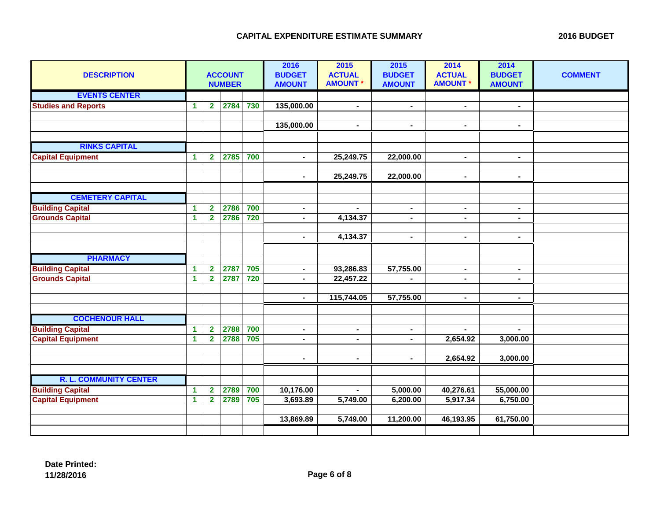| <b>DESCRIPTION</b>            |                      | <b>ACCOUNT</b><br><b>NUMBER</b> |      |     | 2016<br><b>BUDGET</b><br><b>AMOUNT</b> | 2015<br><b>ACTUAL</b><br><b>AMOUNT *</b> | 2015<br><b>BUDGET</b><br><b>AMOUNT</b> | 2014<br><b>ACTUAL</b><br><b>AMOUNT *</b> | 2014<br><b>BUDGET</b><br><b>AMOUNT</b> | <b>COMMENT</b> |
|-------------------------------|----------------------|---------------------------------|------|-----|----------------------------------------|------------------------------------------|----------------------------------------|------------------------------------------|----------------------------------------|----------------|
| <b>EVENTS CENTER</b>          |                      |                                 |      |     |                                        |                                          |                                        |                                          |                                        |                |
| <b>Studies and Reports</b>    | $\blacktriangleleft$ | $\overline{2}$                  | 2784 | 730 | 135,000.00                             | $\blacksquare$                           | $\blacksquare$                         | $\blacksquare$                           | $\blacksquare$                         |                |
|                               |                      |                                 |      |     |                                        |                                          |                                        |                                          |                                        |                |
|                               |                      |                                 |      |     | 135,000.00                             | $\blacksquare$                           | $\blacksquare$                         | $\blacksquare$                           | $\blacksquare$                         |                |
|                               |                      |                                 |      |     |                                        |                                          |                                        |                                          |                                        |                |
| <b>RINKS CAPITAL</b>          |                      |                                 |      |     |                                        |                                          |                                        |                                          |                                        |                |
| <b>Capital Equipment</b>      | $\mathbf{1}$         | $\overline{2}$                  | 2785 | 700 | $\blacksquare$                         | 25,249.75                                | 22,000.00                              | $\blacksquare$                           | $\blacksquare$                         |                |
|                               |                      |                                 |      |     |                                        |                                          |                                        |                                          |                                        |                |
|                               |                      |                                 |      |     | $\blacksquare$                         | 25,249.75                                | 22,000.00                              | $\blacksquare$                           | $\blacksquare$                         |                |
|                               |                      |                                 |      |     |                                        |                                          |                                        |                                          |                                        |                |
| <b>CEMETERY CAPITAL</b>       |                      |                                 |      |     |                                        |                                          |                                        |                                          |                                        |                |
| <b>Building Capital</b>       | $\blacktriangleleft$ | $\mathbf{2}$                    | 2786 | 700 | $\blacksquare$                         | $\blacksquare$                           | $\blacksquare$                         | $\blacksquare$                           | $\blacksquare$                         |                |
| <b>Grounds Capital</b>        | $\blacktriangleleft$ | $\mathbf{2}$                    | 2786 | 720 | $\blacksquare$                         | 4,134.37                                 | $\blacksquare$                         | $\blacksquare$                           | $\blacksquare$                         |                |
|                               |                      |                                 |      |     |                                        |                                          |                                        |                                          |                                        |                |
|                               |                      |                                 |      |     | $\blacksquare$                         | 4,134.37                                 | $\blacksquare$                         | $\blacksquare$                           | $\blacksquare$                         |                |
|                               |                      |                                 |      |     |                                        |                                          |                                        |                                          |                                        |                |
| <b>PHARMACY</b>               |                      |                                 |      |     |                                        |                                          |                                        |                                          |                                        |                |
| <b>Building Capital</b>       | $\blacktriangleleft$ | $\mathbf{2}$                    | 2787 | 705 | $\blacksquare$                         | 93,286.83                                | 57,755.00                              | $\blacksquare$                           | $\blacksquare$                         |                |
| <b>Grounds Capital</b>        | $\blacktriangleleft$ | $\overline{2}$                  | 2787 | 720 | $\blacksquare$                         | 22,457.22                                |                                        | $\blacksquare$                           | $\blacksquare$                         |                |
|                               |                      |                                 |      |     |                                        |                                          |                                        |                                          |                                        |                |
|                               |                      |                                 |      |     | $\blacksquare$                         | 115,744.05                               | 57,755.00                              | $\blacksquare$                           | ۰.                                     |                |
|                               |                      |                                 |      |     |                                        |                                          |                                        |                                          |                                        |                |
| <b>COCHENOUR HALL</b>         |                      |                                 |      |     |                                        |                                          |                                        |                                          |                                        |                |
| <b>Building Capital</b>       | $\blacktriangleleft$ | $\overline{\mathbf{2}}$         | 2788 | 700 | $\sim$                                 | $\sim$                                   | $\blacksquare$                         | $\blacksquare$                           | $\blacksquare$                         |                |
| <b>Capital Equipment</b>      | $\blacktriangleleft$ | $\overline{2}$                  | 2788 | 705 | $\blacksquare$                         | $\blacksquare$                           | $\blacksquare$                         | 2,654.92                                 | 3,000.00                               |                |
|                               |                      |                                 |      |     |                                        |                                          |                                        |                                          |                                        |                |
|                               |                      |                                 |      |     | $\blacksquare$                         | $\sim$                                   | $\blacksquare$                         | 2,654.92                                 | 3,000.00                               |                |
|                               |                      |                                 |      |     |                                        |                                          |                                        |                                          |                                        |                |
| <b>R. L. COMMUNITY CENTER</b> |                      |                                 |      |     |                                        |                                          |                                        |                                          |                                        |                |
| <b>Building Capital</b>       | $\blacktriangleleft$ | $\overline{2}$                  | 2789 | 700 | 10,176.00                              | $\blacksquare$                           | 5,000.00                               | 40,276.61                                | 55,000.00                              |                |
| <b>Capital Equipment</b>      | $\blacktriangleleft$ | $\mathbf{2}$                    | 2789 | 705 | 3,693.89                               | 5,749.00                                 | 6,200.00                               | 5,917.34                                 | 6,750.00                               |                |
|                               |                      |                                 |      |     |                                        |                                          |                                        |                                          |                                        |                |
|                               |                      |                                 |      |     | 13,869.89                              | 5,749.00                                 | 11,200.00                              | 46,193.95                                | 61,750.00                              |                |
|                               |                      |                                 |      |     |                                        |                                          |                                        |                                          |                                        |                |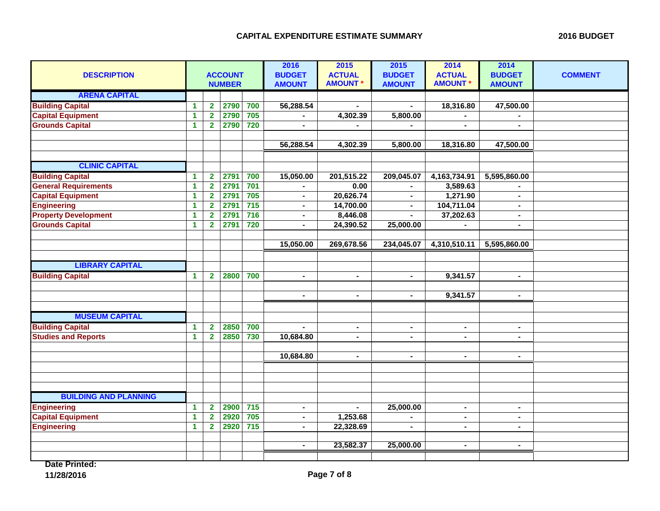| <b>DESCRIPTION</b>           |   | <b>ACCOUNT</b><br><b>NUMBER</b> |      |                  | 2016<br><b>BUDGET</b><br><b>AMOUNT</b> | 2015<br><b>ACTUAL</b><br><b>AMOUNT *</b> | 2015<br><b>BUDGET</b><br><b>AMOUNT</b> | 2014<br><b>ACTUAL</b><br><b>AMOUNT *</b> | 2014<br><b>BUDGET</b><br><b>AMOUNT</b> | <b>COMMENT</b> |
|------------------------------|---|---------------------------------|------|------------------|----------------------------------------|------------------------------------------|----------------------------------------|------------------------------------------|----------------------------------------|----------------|
| <b>ARENA CAPITAL</b>         |   |                                 |      |                  |                                        |                                          |                                        |                                          |                                        |                |
| <b>Building Capital</b>      | 1 | $\overline{\mathbf{2}}$         | 2790 | 700              | 56,288.54                              | $\mathbf{r}$                             | $\blacksquare$                         | 18,316.80                                | 47,500.00                              |                |
| <b>Capital Equipment</b>     | 1 | $\overline{\mathbf{2}}$         | 2790 | 705              | ÷,                                     | 4,302.39                                 | 5,800.00                               | $\blacksquare$                           |                                        |                |
| <b>Grounds Capital</b>       | 1 | $\overline{\mathbf{2}}$         | 2790 | 720              |                                        |                                          |                                        |                                          | $\blacksquare$                         |                |
|                              |   |                                 |      |                  | 56,288.54                              | 4,302.39                                 | 5,800.00                               | 18,316.80                                | 47,500.00                              |                |
|                              |   |                                 |      |                  |                                        |                                          |                                        |                                          |                                        |                |
| <b>CLINIC CAPITAL</b>        |   |                                 |      |                  |                                        |                                          |                                        |                                          |                                        |                |
| <b>Building Capital</b>      | 1 | $\overline{2}$                  | 2791 | 700              | 15,050.00                              | 201,515.22                               | 209,045.07                             | 4,163,734.91                             | 5,595,860.00                           |                |
| <b>General Requirements</b>  | 1 | $\overline{\mathbf{2}}$         | 2791 | 701              |                                        | 0.00                                     |                                        | 3,589.63                                 |                                        |                |
| <b>Capital Equipment</b>     | 1 | $\overline{\mathbf{2}}$         | 2791 | 705              | $\blacksquare$                         | 20,626.74                                | $\blacksquare$                         | 1,271.90                                 | $\blacksquare$                         |                |
| <b>Engineering</b>           | 1 | $\mathbf{2}$                    | 2791 | $\overline{715}$ | $\qquad \qquad \blacksquare$           | 14,700.00                                | $\blacksquare$                         | 104,711.04                               | $\blacksquare$                         |                |
| <b>Property Development</b>  | 1 | $\mathbf{2}$                    | 2791 | $\overline{716}$ | $\blacksquare$                         | 8,446.08                                 | $\blacksquare$                         | 37,202.63                                | $\blacksquare$                         |                |
| <b>Grounds Capital</b>       | 1 | $\overline{\mathbf{2}}$         | 2791 | 720              | $\blacksquare$                         | 24,390.52                                | 25,000.00                              |                                          | $\blacksquare$                         |                |
|                              |   |                                 |      |                  |                                        |                                          |                                        |                                          |                                        |                |
|                              |   |                                 |      |                  | 15,050.00                              | 269,678.56                               | 234,045.07                             | 4,310,510.11                             | 5,595,860.00                           |                |
|                              |   |                                 |      |                  |                                        |                                          |                                        |                                          |                                        |                |
| <b>LIBRARY CAPITAL</b>       |   |                                 |      |                  |                                        |                                          |                                        |                                          |                                        |                |
| <b>Building Capital</b>      | 1 | $\overline{2}$                  | 2800 | 700              | $\blacksquare$                         | $\blacksquare$                           | $\blacksquare$                         | 9,341.57                                 | $\blacksquare$                         |                |
|                              |   |                                 |      |                  |                                        |                                          |                                        |                                          |                                        |                |
|                              |   |                                 |      |                  | $\blacksquare$                         | $\sim$                                   | $\blacksquare$                         | 9,341.57                                 | $\blacksquare$                         |                |
|                              |   |                                 |      |                  |                                        |                                          |                                        |                                          |                                        |                |
| <b>MUSEUM CAPITAL</b>        |   |                                 |      |                  |                                        |                                          |                                        |                                          |                                        |                |
| <b>Building Capital</b>      | 1 | $\mathbf{2}$                    | 2850 | 700              | $\blacksquare$                         | $\sim$                                   | $\blacksquare$                         | $\blacksquare$                           | $\blacksquare$                         |                |
| <b>Studies and Reports</b>   | 1 | $\overline{\mathbf{2}}$         | 2850 | 730              | 10,684.80                              | $\blacksquare$                           |                                        | $\blacksquare$                           | $\blacksquare$                         |                |
|                              |   |                                 |      |                  | 10,684.80                              | $\sim$                                   | $\blacksquare$                         | $\sim$                                   | $\blacksquare$                         |                |
|                              |   |                                 |      |                  |                                        |                                          |                                        |                                          |                                        |                |
|                              |   |                                 |      |                  |                                        |                                          |                                        |                                          |                                        |                |
|                              |   |                                 |      |                  |                                        |                                          |                                        |                                          |                                        |                |
| <b>BUILDING AND PLANNING</b> |   |                                 |      |                  |                                        |                                          |                                        |                                          |                                        |                |
| <b>Engineering</b>           | 1 | $\mathbf{2}$                    | 2900 | 715              | $\sim$                                 |                                          | 25,000.00                              | $\blacksquare$                           | $\blacksquare$                         |                |
| <b>Capital Equipment</b>     | 1 | $\overline{\mathbf{2}}$         | 2920 | 705              | $\blacksquare$                         | 1,253.68                                 |                                        |                                          | $\blacksquare$                         |                |
| <b>Engineering</b>           | 1 | $\overline{\mathbf{2}}$         | 2920 | $\overline{715}$ | $\overline{a}$                         | 22,328.69                                |                                        | $\blacksquare$                           | $\blacksquare$                         |                |
|                              |   |                                 |      |                  |                                        |                                          |                                        |                                          |                                        |                |
|                              |   |                                 |      |                  | $\blacksquare$                         | 23,582.37                                | 25,000.00                              | $\blacksquare$                           | $\blacksquare$                         |                |
|                              |   |                                 |      |                  |                                        |                                          |                                        |                                          |                                        |                |

**Date Printed:**